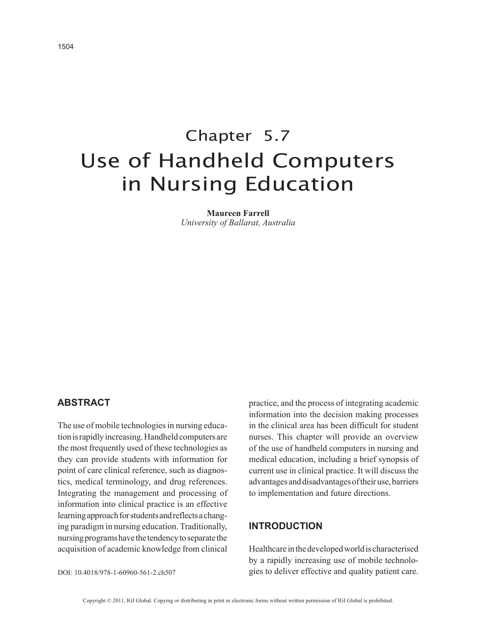# Chapter 5.7 Use of Handheld Computers in Nursing Education

**Maureen Farrell** *University of Ballarat, Australia*

## **AbstrAct**

The use of mobile technologies in nursing education is rapidly increasing. Handheld computers are the most frequently used of these technologies as they can provide students with information for point of care clinical reference, such as diagnostics, medical terminology, and drug references. Integrating the management and processing of information into clinical practice is an effective learning approach for students and reflects a changing paradigm in nursing education. Traditionally, nursing programs have the tendency to separate the acquisition of academic knowledge from clinical practice, and the process of integrating academic information into the decision making processes in the clinical area has been difficult for student nurses. This chapter will provide an overview of the use of handheld computers in nursing and medical education, including a brief synopsis of current use in clinical practice. It will discuss the advantages and disadvantages of their use, barriers to implementation and future directions.

## **INtrODUctION**

Healthcare in the developed world is characterised by a rapidly increasing use of mobile technologies to deliver effective and quality patient care.

DOI: 10.4018/978-1-60960-561-2.ch507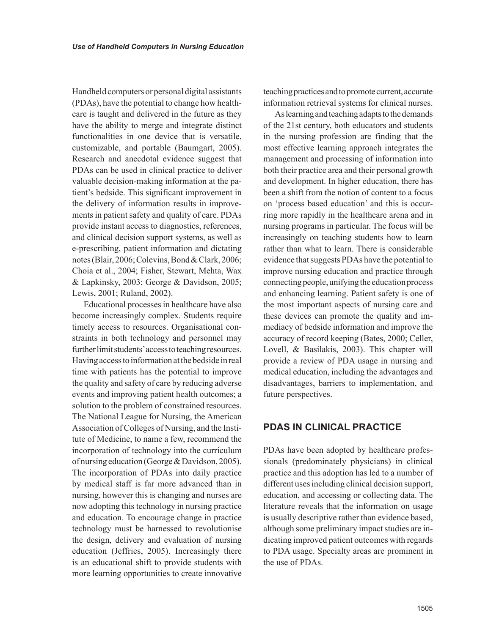Handheld computers or personal digital assistants (PDAs), have the potential to change how healthcare is taught and delivered in the future as they have the ability to merge and integrate distinct functionalities in one device that is versatile, customizable, and portable (Baumgart, 2005). Research and anecdotal evidence suggest that PDAs can be used in clinical practice to deliver valuable decision-making information at the patient's bedside. This significant improvement in the delivery of information results in improvements in patient safety and quality of care. PDAs provide instant access to diagnostics, references, and clinical decision support systems, as well as e-prescribing, patient information and dictating notes (Blair, 2006; Colevins, Bond & Clark, 2006; Choia et al., 2004; Fisher, Stewart, Mehta, Wax & Lapkinsky, 2003; George & Davidson, 2005; Lewis, 2001; Ruland, 2002).

Educational processes in healthcare have also become increasingly complex. Students require timely access to resources. Organisational constraints in both technology and personnel may further limit students' access to teaching resources. Having access to information at the bedside in real time with patients has the potential to improve the quality and safety of care by reducing adverse events and improving patient health outcomes; a solution to the problem of constrained resources. The National League for Nursing, the American Association of Colleges of Nursing, and the Institute of Medicine, to name a few, recommend the incorporation of technology into the curriculum of nursing education (George & Davidson, 2005). The incorporation of PDAs into daily practice by medical staff is far more advanced than in nursing, however this is changing and nurses are now adopting this technology in nursing practice and education. To encourage change in practice technology must be harnessed to revolutionise the design, delivery and evaluation of nursing education (Jeffries, 2005). Increasingly there is an educational shift to provide students with more learning opportunities to create innovative teaching practices and to promote current, accurate information retrieval systems for clinical nurses.

As learning and teaching adapts to the demands of the 21st century, both educators and students in the nursing profession are finding that the most effective learning approach integrates the management and processing of information into both their practice area and their personal growth and development. In higher education, there has been a shift from the notion of content to a focus on 'process based education' and this is occurring more rapidly in the healthcare arena and in nursing programs in particular. The focus will be increasingly on teaching students how to learn rather than what to learn. There is considerable evidence that suggests PDAs have the potential to improve nursing education and practice through connecting people, unifying the education process and enhancing learning. Patient safety is one of the most important aspects of nursing care and these devices can promote the quality and immediacy of bedside information and improve the accuracy of record keeping (Bates, 2000; Celler, Lovell, & Basilakis, 2003). This chapter will provide a review of PDA usage in nursing and medical education, including the advantages and disadvantages, barriers to implementation, and future perspectives.

# **PDAs IN cLINIcAL PrActIcE**

PDAs have been adopted by healthcare professionals (predominately physicians) in clinical practice and this adoption has led to a number of different uses including clinical decision support, education, and accessing or collecting data. The literature reveals that the information on usage is usually descriptive rather than evidence based, although some preliminary impact studies are indicating improved patient outcomes with regards to PDA usage. Specialty areas are prominent in the use of PDAs.